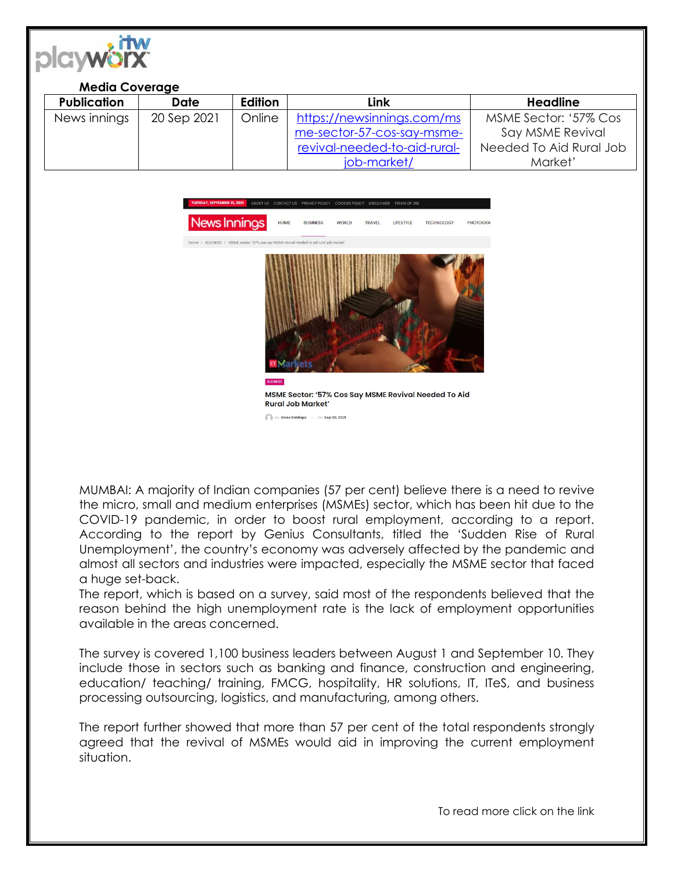

## **Media Coverage**

| <b>Publication</b> | <b>Date</b> | Edition | Link                         | <b>Headline</b>         |
|--------------------|-------------|---------|------------------------------|-------------------------|
| News innings       | 20 Sep 2021 | Online  | https://newsinnings.com/ms   | MSME Sector: '57% Cos   |
|                    |             |         | me-sector-57-cos-say-msme-   | Say MSME Revival        |
|                    |             |         | revival-needed-to-aid-rural- | Needed To Aid Rural Job |
|                    |             |         | job-market/                  | Market'                 |



MUMBAI: A majority of Indian companies (57 per cent) believe there is a need to revive the micro, small and medium enterprises (MSMEs) sector, which has been hit due to the COVID-19 pandemic, in order to boost rural employment, according to a report. According to the report by Genius Consultants, titled the 'Sudden Rise of Rural Unemployment', the country's economy was adversely affected by the pandemic and almost all sectors and industries were impacted, especially the MSME sector that faced a huge set-back.

Ev Anas Siddiaui — On Sep 20, 2021

The report, which is based on a survey, said most of the respondents believed that the reason behind the high unemployment rate is the lack of employment opportunities available in the areas concerned.

The survey is covered 1,100 business leaders between August 1 and September 10. They include those in sectors such as banking and finance, construction and engineering, education/ teaching/ training, FMCG, hospitality, HR solutions, IT, ITeS, and business processing outsourcing, logistics, and manufacturing, among others.

The report further showed that more than 57 per cent of the total respondents strongly agreed that the revival of MSMEs would aid in improving the current employment situation.

To read more click on the link